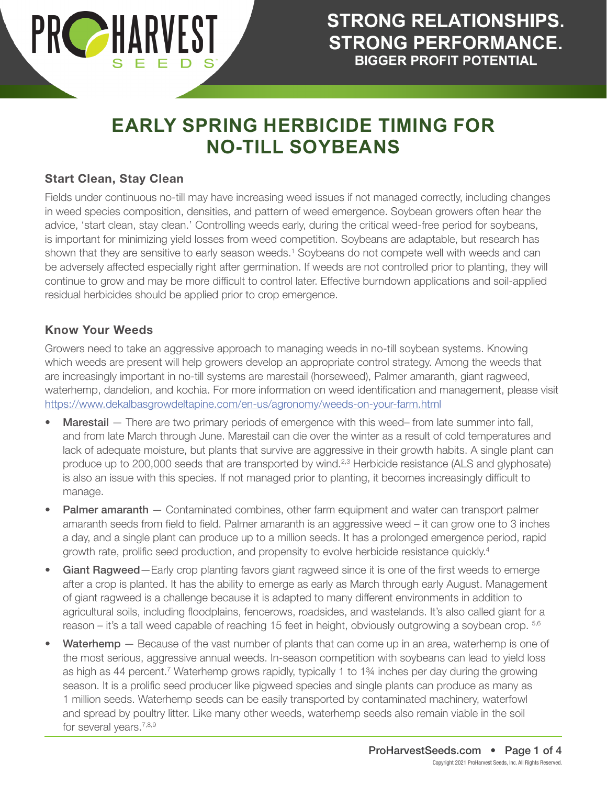

### **Start Clean, Stay Clean**

Fields under continuous no-till may have increasing weed issues if not managed correctly, including changes in weed species composition, densities, and pattern of weed emergence. Soybean growers often hear the advice, 'start clean, stay clean.' Controlling weeds early, during the critical weed-free period for soybeans, is important for minimizing yield losses from weed competition. Soybeans are adaptable, but research has shown that they are sensitive to early season weeds.<sup>1</sup> Soybeans do not compete well with weeds and can be adversely affected especially right after germination. If weeds are not controlled prior to planting, they will continue to grow and may be more difficult to control later. Effective burndown applications and soil-applied residual herbicides should be applied prior to crop emergence.

#### **Know Your Weeds**

Growers need to take an aggressive approach to managing weeds in no-till soybean systems. Knowing which weeds are present will help growers develop an appropriate control strategy. Among the weeds that are increasingly important in no-till systems are marestail (horseweed), Palmer amaranth, giant ragweed, waterhemp, dandelion, and kochia. For more information on weed identification and management, please visit <https://www.dekalbasgrowdeltapine.com/en-us/agronomy/weeds-on-your-farm.html>

- Marestail There are two primary periods of emergence with this weed– from late summer into fall, and from late March through June. Marestail can die over the winter as a result of cold temperatures and lack of adequate moisture, but plants that survive are aggressive in their growth habits. A single plant can produce up to 200,000 seeds that are transported by wind.<sup>2,3</sup> Herbicide resistance (ALS and glyphosate) is also an issue with this species. If not managed prior to planting, it becomes increasingly difficult to manage.
- Palmer amaranth Contaminated combines, other farm equipment and water can transport palmer amaranth seeds from field to field. Palmer amaranth is an aggressive weed – it can grow one to 3 inches a day, and a single plant can produce up to a million seeds. It has a prolonged emergence period, rapid growth rate, prolific seed production, and propensity to evolve herbicide resistance quickly.<sup>4</sup>
- Giant Ragweed—Early crop planting favors giant ragweed since it is one of the first weeds to emerge after a crop is planted. It has the ability to emerge as early as March through early August. Management of giant ragweed is a challenge because it is adapted to many different environments in addition to agricultural soils, including floodplains, fencerows, roadsides, and wastelands. It's also called giant for a reason – it's a tall weed capable of reaching 15 feet in height, obviously outgrowing a soybean crop. 5,6
- Waterhemp Because of the vast number of plants that can come up in an area, waterhemp is one of the most serious, aggressive annual weeds. In-season competition with soybeans can lead to yield loss as high as 44 percent.<sup>7</sup> Waterhemp grows rapidly, typically 1 to 1<sup>3</sup>/4 inches per day during the growing season. It is a prolific seed producer like pigweed species and single plants can produce as many as 1 million seeds. Waterhemp seeds can be easily transported by contaminated machinery, waterfowl and spread by poultry litter. Like many other weeds, waterhemp seeds also remain viable in the soil for several years.<sup>7,8,9</sup>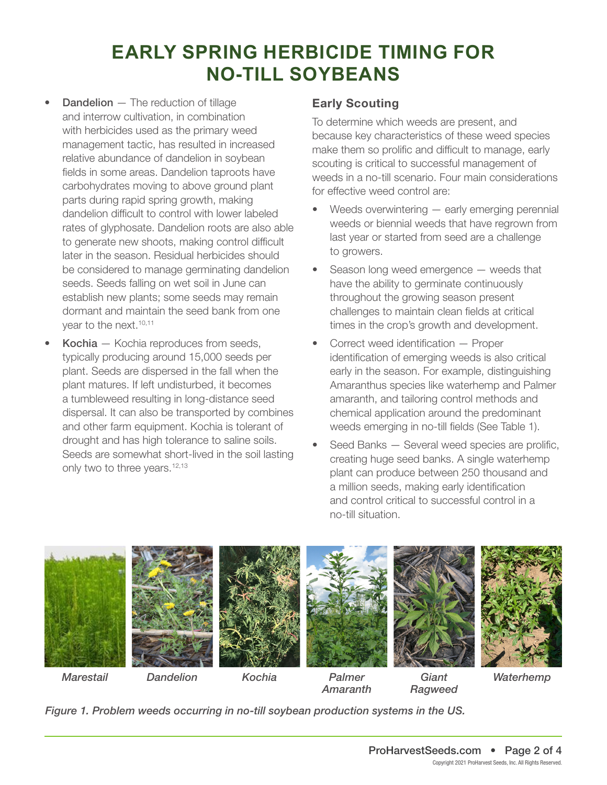- **Dandelion** The reduction of tillage and interrow cultivation, in combination with herbicides used as the primary weed management tactic, has resulted in increased relative abundance of dandelion in soybean fields in some areas. Dandelion taproots have carbohydrates moving to above ground plant parts during rapid spring growth, making dandelion difficult to control with lower labeled rates of glyphosate. Dandelion roots are also able to generate new shoots, making control difficult later in the season. Residual herbicides should be considered to manage germinating dandelion seeds. Seeds falling on wet soil in June can establish new plants; some seeds may remain dormant and maintain the seed bank from one year to the next.<sup>10,11</sup>
- Kochia Kochia reproduces from seeds, typically producing around 15,000 seeds per plant. Seeds are dispersed in the fall when the plant matures. If left undisturbed, it becomes a tumbleweed resulting in long-distance seed dispersal. It can also be transported by combines and other farm equipment. Kochia is tolerant of drought and has high tolerance to saline soils. Seeds are somewhat short-lived in the soil lasting only two to three years.<sup>12,13</sup>

### **Early Scouting**

To determine which weeds are present, and because key characteristics of these weed species make them so prolific and difficult to manage, early scouting is critical to successful management of weeds in a no-till scenario. Four main considerations for effective weed control are:

- Weeds overwintering  $-$  early emerging perennial weeds or biennial weeds that have regrown from last year or started from seed are a challenge to growers.
- Season long weed emergence weeds that have the ability to germinate continuously throughout the growing season present challenges to maintain clean fields at critical times in the crop's growth and development.
- Correct weed identification Proper identification of emerging weeds is also critical early in the season. For example, distinguishing Amaranthus species like waterhemp and Palmer amaranth, and tailoring control methods and chemical application around the predominant weeds emerging in no-till fields (See Table 1).
- Seed Banks Several weed species are prolific, creating huge seed banks. A single waterhemp plant can produce between 250 thousand and a million seeds, making early identification and control critical to successful control in a no-till situation.

*Ragweed*



*Amaranth*

*Figure 1. Problem weeds occurring in no-till soybean production systems in the US.*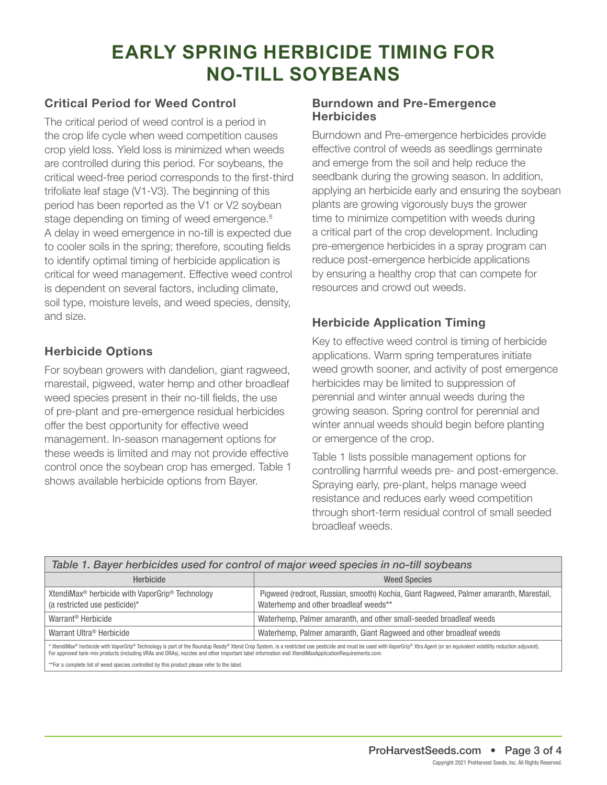### **Critical Period for Weed Control**

The critical period of weed control is a period in the crop life cycle when weed competition causes crop yield loss. Yield loss is minimized when weeds are controlled during this period. For soybeans, the critical weed-free period corresponds to the first-third trifoliate leaf stage (V1-V3). The beginning of this period has been reported as the V1 or V2 soybean stage depending on timing of weed emergence.<sup>8</sup> A delay in weed emergence in no-till is expected due to cooler soils in the spring; therefore, scouting fields to identify optimal timing of herbicide application is critical for weed management. Effective weed control is dependent on several factors, including climate, soil type, moisture levels, and weed species, density, and size.

### **Herbicide Options**

For soybean growers with dandelion, giant ragweed, marestail, pigweed, water hemp and other broadleaf weed species present in their no-till fields, the use of pre-plant and pre-emergence residual herbicides offer the best opportunity for effective weed management. In-season management options for these weeds is limited and may not provide effective control once the soybean crop has emerged. Table 1 shows available herbicide options from Bayer.

#### **Burndown and Pre-Emergence Herbicides**

Burndown and Pre-emergence herbicides provide effective control of weeds as seedlings germinate and emerge from the soil and help reduce the seedbank during the growing season. In addition, applying an herbicide early and ensuring the soybean plants are growing vigorously buys the grower time to minimize competition with weeds during a critical part of the crop development. Including pre-emergence herbicides in a spray program can reduce post-emergence herbicide applications by ensuring a healthy crop that can compete for resources and crowd out weeds.

### **Herbicide Application Timing**

Key to effective weed control is timing of herbicide applications. Warm spring temperatures initiate weed growth sooner, and activity of post emergence herbicides may be limited to suppression of perennial and winter annual weeds during the growing season. Spring control for perennial and winter annual weeds should begin before planting or emergence of the crop.

Table 1 lists possible management options for controlling harmful weeds pre- and post-emergence. Spraying early, pre-plant, helps manage weed resistance and reduces early weed competition through short-term residual control of small seeded broadleaf weeds.

| Table 1. Bayer herbicides used for control of major weed species in no-till soybeans                                                                                                                                                                                                                                                                                                  |                                                                                                                                |
|---------------------------------------------------------------------------------------------------------------------------------------------------------------------------------------------------------------------------------------------------------------------------------------------------------------------------------------------------------------------------------------|--------------------------------------------------------------------------------------------------------------------------------|
| <b>Herbicide</b>                                                                                                                                                                                                                                                                                                                                                                      | <b>Weed Species</b>                                                                                                            |
| XtendiMax <sup>®</sup> herbicide with VaporGrip <sup>®</sup> Technology<br>(a restricted use pesticide)*                                                                                                                                                                                                                                                                              | Pigweed (redroot, Russian, smooth) Kochia, Giant Ragweed, Palmer amaranth, Marestail,<br>Waterhemp and other broadleaf weeds** |
| Warrant <sup>®</sup> Herbicide                                                                                                                                                                                                                                                                                                                                                        | Waterhemp, Palmer amaranth, and other small-seeded broadleaf weeds                                                             |
| Warrant Ultra <sup>®</sup> Herbicide                                                                                                                                                                                                                                                                                                                                                  | Waterhemp, Palmer amaranth, Giant Ragweed and other broadleaf weeds                                                            |
| * XtendiMax® herbicide with VaporGrip® Technology is part of the Roundup Ready® Xtend Crop System, is a restricted use pesticide and must be used with VaporGrip® Xtra Agent (or an equivalent volatility reduction adjuvant).<br>For approved tank-mix products (including VRAs and DRAs), nozzles and other important label information visit XtendiMaxApplicationRequirements.com. |                                                                                                                                |
| **For a complete list of weed species controlled by this product please refer to the label.                                                                                                                                                                                                                                                                                           |                                                                                                                                |